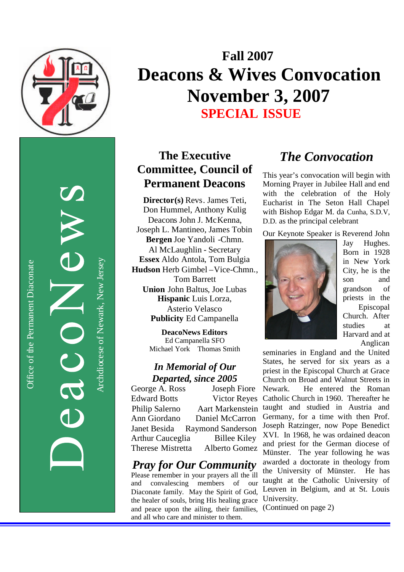

Office of the Permanent Diaconate

Office of the Permanent Diaconate

Archdiocese of Newark, New JerseyArchdiocese of Newark, New Jersey

# **Fall 200 7 Deacons & Wives Convocation November 3, 2007 SPECIAL ISSUE**

# **The Executive Committee , Council of Permanent Deacons**

**Director(s)** Revs. James Teti, Don Hummel, Anthony Kulig Deacons John J. McKenna, Joseph L. Mantineo, James Tobin **Bergen** Joe Yandoli -Chmn . Al McLaughlin - Secretary **Essex** Aldo Antola, Tom Bulgia Hudson Herb Gimbel-Vice-Chmn., Tom Barrett **Union** John Baltus, Joe Lubas **Hispanic** Luis Lorza, Asterio Velasco **Publicity** Ed Campanella

> **DeacoNews Editors** Ed Campanella SFO Michael York Thomas Smith

### *In Memorial of Our Departed, since 2005*

George A. Ross Joseph Fiore Edward Botts Victor Reyes Philip Salerno Aart Markenstein Ann Giordano Daniel McCarron Janet Besida Raymond Sanderson Arthur Cauceglia Billee Kiley Therese Mistretta Alberto Gomez

# *Pray for Our Community*

Please remember in your prayers all the ill and convalescing members of our Diaconate family. May the Spirit of God, the healer of souls, bring His healing grace and peace upon the ailing, their families, and all who care and minister to them.

# *The Convocation*

This year's convocation will begin with Morning Prayer in Jubilee Hall and end with the celebration of the Holy Eucharist in The Seton Hall Chapel with Bishop Edgar M. da Cunha, S.D.V, D.D. as the principal celebrant

Our Keynote Speaker is Reverend John



Jay Hughes. Born in 1928 in New York City, he is the son and grandson of priests in the Episcopal Church. After studies at Harvard and at Anglican

seminaries in England and the United States, he served for six years as a priest in the Episcopal Church at Grace Church on Broad and Walnut Streets in Newark. He entered the Roman Catholic Church in 1960. Thereafter he taught and studied in Austria and Germany, for a time with then Prof. Joseph Ratzinger, now Pope Benedict XVI. In 1968 , he was ordained deacon and priest for the German diocese of Münster. The year following he was awarded a doctorate in theology from the University of Münster. He has taught at the Catholic University of Leuven in Belgium, and at St. Louis University.

(Continued on page 2)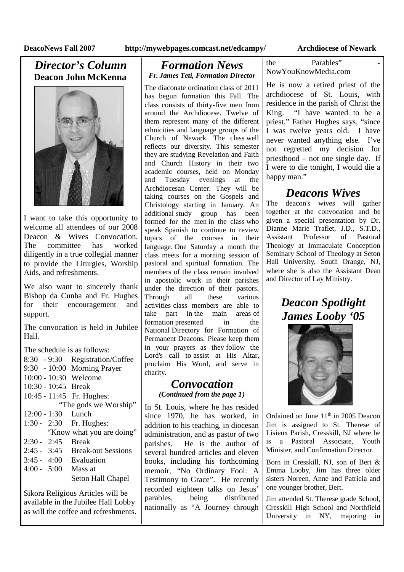## *Director's Column* **Deacon John McKenna**



I want to take this opportunity to welcome all attendees of our 2008 Deacon & Wives Convocation. The committee has worked diligently in a true collegial manner to provide the Liturgies, Worship Aids, and refreshments.

We also want to sincerely thank Bishop da Cunha and Fr. Hughes for their encouragement and support.

The convocation is held in Jubilee Hall.

The schedule is as follows:

|                       |  | 8:30 - 9:30 Registration/Coffee |
|-----------------------|--|---------------------------------|
|                       |  | 9:30 - 10:00 Morning Prayer     |
|                       |  | 10:00 - 10:30 Welcome           |
| 10:30 - 10:45 Break   |  |                                 |
|                       |  | 10:45 - 11:45 Fr. Hughes:       |
| "The gods we Worship" |  |                                 |
| $12:00 - 1:30$ Lunch  |  |                                 |
|                       |  | 1:30 - 2:30 Fr. Hughes:         |
|                       |  | "Know what you are doing"       |
| $2:30 - 2:45$         |  | <b>Break</b>                    |
|                       |  | 2:45 - 3:45 Break-out Sessions  |
|                       |  | $3:45 - 4:00$ Evaluation        |
|                       |  | 4:00 - $5:00$ Mass at           |
|                       |  | Seton Hall Chapel               |
|                       |  |                                 |

Sikora Religious Articles will be available in the Jubilee Hall Lobby as will the coffee and refreshments.

### *Formation News Fr. James Teti, Formation Director*

The diaconate ordination class of 2011 has begun formation this Fall. The class consists of thirty-five men from around the Archdiocese. Twelve of them represent many of the different ethnicities and language groups of the Church of Newark. The class well reflects our diversity. This semester they are studying Revelation and Faith and Church History in their two academic courses, held on Monday and Tuesday evenings at the Archdiocesan Center. They will be taking courses on the Gospels and Christology starting in January. An additional study group has been formed for the men in the class who speak Spanish to continue to review topics of the courses in their language. One Saturday a month the class meets for a morning session of pastoral and spiritual formation. The members of the class remain involved in apostolic work in their parishes under the direction of their pastors. Through all these various activities class members are able to take part in the main areas of formation presented in the National Directory for Formation of Permanent Deacons. Please keep them in your prayers as they follow the Lord's call to assist at His Altar, proclaim His Word, and serve in charity.

### *Convocation (Continued from the page 1)*

In St. Louis, where he has resided since 1970, he has worked, in addition to his teaching, in diocesan administration, and as pastor of two parishes. He is the author of several hundred articles and eleven books, including his forthcoming memoir, "No Ordinary Fool: A Testimony to Grace". He recently recorded eighteen talks on Jesus' parables, being distributed nationally as "A Journey through the **Parables**" NowYouKnowMedia.com

He is now a retired priest of the archdiocese of St. Louis, with residence in the parish of Christ the King. "I have wanted to be a priest," Father Hughes says, "since I was twelve years old. I have never wanted anything else. I've not regretted my decision for priesthood – not one single day. If I were to die tonight, I would die a happy man."

# *Deacons Wives*

The deacon's wives will gather together at the convocation and be given a special presentation by Dr. Dianne Marie Traflet, J.D., S.T.D., Assistant Professor of Pastoral Theology at Immaculate Conception Seminary School of Theology at Seton Hall University, South Orange, NJ, where she is also the Assistant Dean and Director of Lay Ministry.

> *Deacon Spotlight James Looby '05*



Ordained on June  $11<sup>th</sup>$  in 2005 Deacon Jim is assigned to St. Therese of Lisieux Parish, Cresskill, NJ where he is a Pastoral Associate, Youth Minister, and Confirmation Director.

Born in Cresskill, NJ, son of Bert & Emma Looby, Jim has three older sisters Noreen, Anne and Patricia and one younger brother, Bert.

Jim attended St. Therese grade School, Cresskill High School and Northfield University in NY, majoring in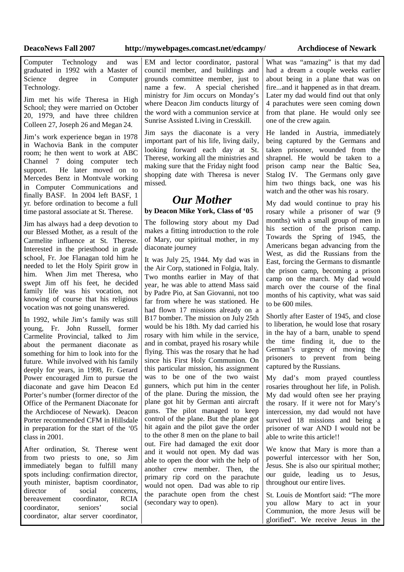### **DeacoNews Fall 2007 http://mywebpages.comcast.net/edcampy/ Archdiocese of Newark**

Computer Technology and was graduated in 1992 with a Master of Science degree in Computer Technology.

Jim met his wife Theresa in High School; they were married on October 20, 1979, and have three children Colleen 27, Joseph 26 and Megan 24.

Jim's work experience began in 1978 in Wachovia Bank in the computer room; he then went to work at ABC Channel 7 doing computer tech support. He later moved on to Mercedes Benz in Montvale working in Computer Communications and finally BASF. In 2004 left BASF, 1 yr. before ordination to become a full time pastoral associate at St. Therese.

Jim has always had a deep devotion to our Blessed Mother, as a result of the Carmelite influence at St. Therese. Interested in the priesthood in grade school, Fr. Joe Flanagan told him he needed to let the Holy Spirit grow in him. When Jim met Theresa, who swept Jim off his feet, he decided family life was his vocation, not knowing of course that his religious vocation was not going unanswered.

In 1992, while Jim's family was still young, Fr. John Russell, former Carmelite Provincial, talked to Jim about the permanent diaconate as something for him to look into for the future. While involved with his family deeply for years, in 1998, Fr. Gerard Power encouraged Jim to pursue the diaconate and gave him Deacon Ed Porter's number (former director of the Office of the Permanent Diaconate for the Archdiocese of Newark). Deacon Porter recommended CFM in Hillsdale in preparation for the start of the '05 class in 2001.

After ordination, St. Therese went from two priests to one, so Jim immediately began to fulfill many spots including: confirmation director, youth minister, baptism coordinator,<br>director of social concerns  $\sigma$   $\bar{\sigma}$  social concerns. bereavement coordinator, RCIA coordinator, seniors' social coordinator, altar server coordinator,

EM and lector coordinator, pastoral council member, and buildings and grounds committee member, just to name a few. A special cherished ministry for Jim occurs on Monday's where Deacon Jim conducts liturgy of the word with a communion service at Sunrise Assisted Living in Cresskill.

Jim says the diaconate is a very important part of his life, living daily, looking forward each day at St. Therese, working all the ministries and making sure that the Friday night food shopping date with Theresa is never missed.

## *Our Mother*

**by Deacon Mike York, Class of '05**

The following story about my Dad makes a fitting introduction to the role of Mary, our spiritual mother, in my diaconate journey

It was July 25, 1944. My dad was in the Air Corp, stationed in Folgia, Italy. Two months earlier in May of that year, he was able to attend Mass said by Padre Pio, at San Giovanni, not too far from where he was stationed. He had flown 17 missions already on a B17 bomber. The mission on July 25th would be his 18th. My dad carried his rosary with him while in the service, and in combat, prayed his rosary while flying. This was the rosary that he had since his First Holy Communion. On this particular mission, his assignment was to be one of the two waist gunners, which put him in the center of the plane. During the mission, the plane got hit by German anti aircraft guns. The pilot managed to keep control of the plane. But the plane got hit again and the pilot gave the order to the other 8 men on the plane to bail out. Fire had damaged the exit door and it would not open. My dad was able to open the door with the help of another crew member. Then, the primary rip cord on the parachute would not open. Dad was able to rip the parachute open from the chest (secondary way to open).

What was "amazing" is that my dad had a dream a couple weeks earlier about being in a plane that was on fire...and it happened as in that dream. Later my dad would find out that only 4 parachutes were seen coming down from that plane. He would only see one of the crew again.

He landed in Austria, immediately being captured by the Germans and taken prisoner, wounded from the shrapnel. He would be taken to a prison camp near the Baltic Sea, Stalog IV. The Germans only gave him two things back, one was his watch and the other was his rosary.

My dad would continue to pray his rosary while a prisoner of war (9 months) with a small group of men in his section of the prison camp. Towards the Spring of 1945, the Americans began advancing from the West, as did the Russians from the East, forcing the Germans to dismantle the prison camp, becoming a prison camp on the march. My dad would march over the course of the final months of his captivity, what was said to be 600 miles.

Shortly after Easter of 1945, and close to liberation, he would lose that rosary in the hay of a barn, unable to spend the time finding it, due to the German's urgency of moving the prisoners to prevent from being captured by the Russians.

My dad's mom prayed countless rosaries throughout her life, in Polish. My dad would often see her praying the rosary. If it were not for Mary's intercession, my dad would not have survived 18 missions and being a prisoner of war AND I would not be able to write this article!!

We know that Mary is more than a powerful intercessor with her Son, Jesus. She is also our spiritual mother; our guide, leading us to Jesus, throughout our entire lives.

St. Louis de Montfort said: "The more you allow Mary to act in your Communion, the more Jesus will be glorified". We receive Jesus in the